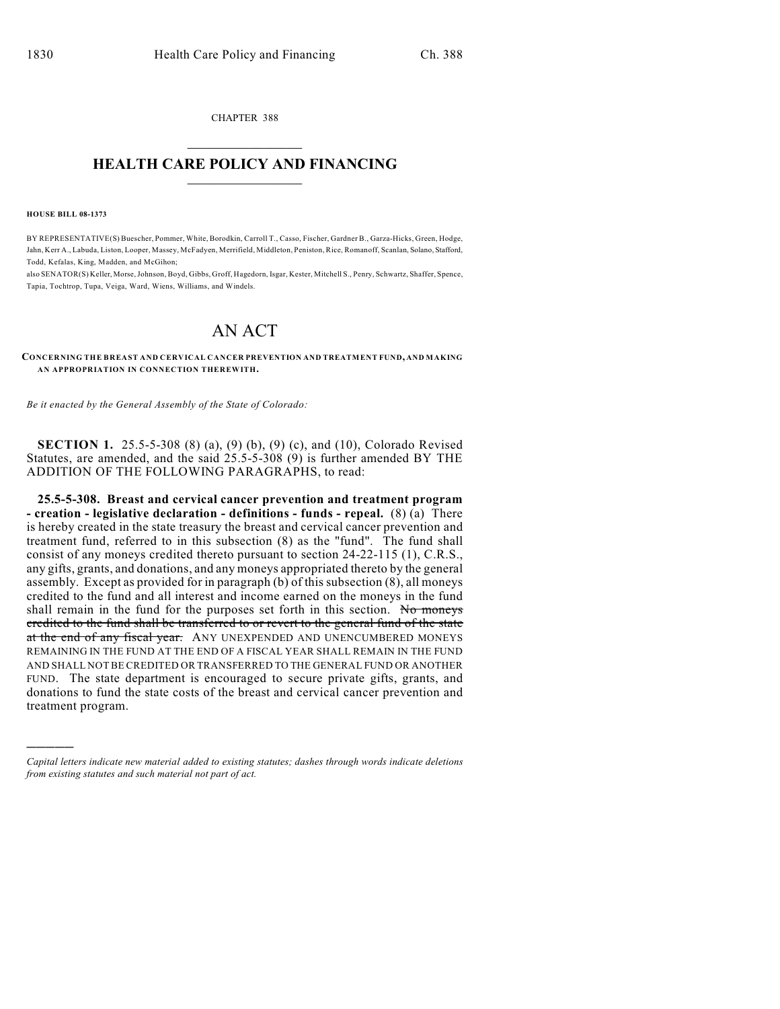CHAPTER 388  $\overline{\phantom{a}}$  . The set of the set of the set of the set of the set of the set of the set of the set of the set of the set of the set of the set of the set of the set of the set of the set of the set of the set of the set o

#### **HEALTH CARE POLICY AND FINANCING**  $\_$   $\_$   $\_$   $\_$   $\_$   $\_$   $\_$   $\_$

**HOUSE BILL 08-1373**

)))))

BY REPRESENTATIVE(S) Buescher, Pommer, White, Borodkin, Carroll T., Casso, Fischer, Gardner B., Garza-Hicks, Green, Hodge, Jahn, Kerr A., Labuda, Liston, Looper, Massey, McFadyen, Merrifield, Middleton, Peniston, Rice, Romanoff, Scanlan, Solano, Stafford, Todd, Kefalas, King, Madden, and McGihon;

also SENATOR(S) Keller, Morse, Johnson, Boyd, Gibbs, Groff, Hagedorn, Isgar, Kester, Mitchell S., Penry, Schwartz, Shaffer, Spence, Tapia, Tochtrop, Tupa, Veiga, Ward, Wiens, Williams, and Windels.

# AN ACT

**CONCERNING THE BREAST AND CERVICAL CANCER PREVENTION AND TREATMENT FUND, AND MAKING AN APPROPRIATION IN CONNECTION THEREWITH.**

*Be it enacted by the General Assembly of the State of Colorado:*

**SECTION 1.** 25.5-5-308 (8) (a), (9) (b), (9) (c), and (10), Colorado Revised Statutes, are amended, and the said 25.5-5-308 (9) is further amended BY THE ADDITION OF THE FOLLOWING PARAGRAPHS, to read:

**25.5-5-308. Breast and cervical cancer prevention and treatment program - creation - legislative declaration - definitions - funds - repeal.** (8) (a) There is hereby created in the state treasury the breast and cervical cancer prevention and treatment fund, referred to in this subsection (8) as the "fund". The fund shall consist of any moneys credited thereto pursuant to section 24-22-115 (1), C.R.S., any gifts, grants, and donations, and any moneys appropriated thereto by the general assembly. Except as provided for in paragraph (b) of this subsection (8), all moneys credited to the fund and all interest and income earned on the moneys in the fund shall remain in the fund for the purposes set forth in this section. No moneys credited to the fund shall be transferred to or revert to the general fund of the state at the end of any fiscal year. ANY UNEXPENDED AND UNENCUMBERED MONEYS REMAINING IN THE FUND AT THE END OF A FISCAL YEAR SHALL REMAIN IN THE FUND AND SHALL NOT BE CREDITED OR TRANSFERRED TO THE GENERAL FUND OR ANOTHER FUND. The state department is encouraged to secure private gifts, grants, and donations to fund the state costs of the breast and cervical cancer prevention and treatment program.

*Capital letters indicate new material added to existing statutes; dashes through words indicate deletions from existing statutes and such material not part of act.*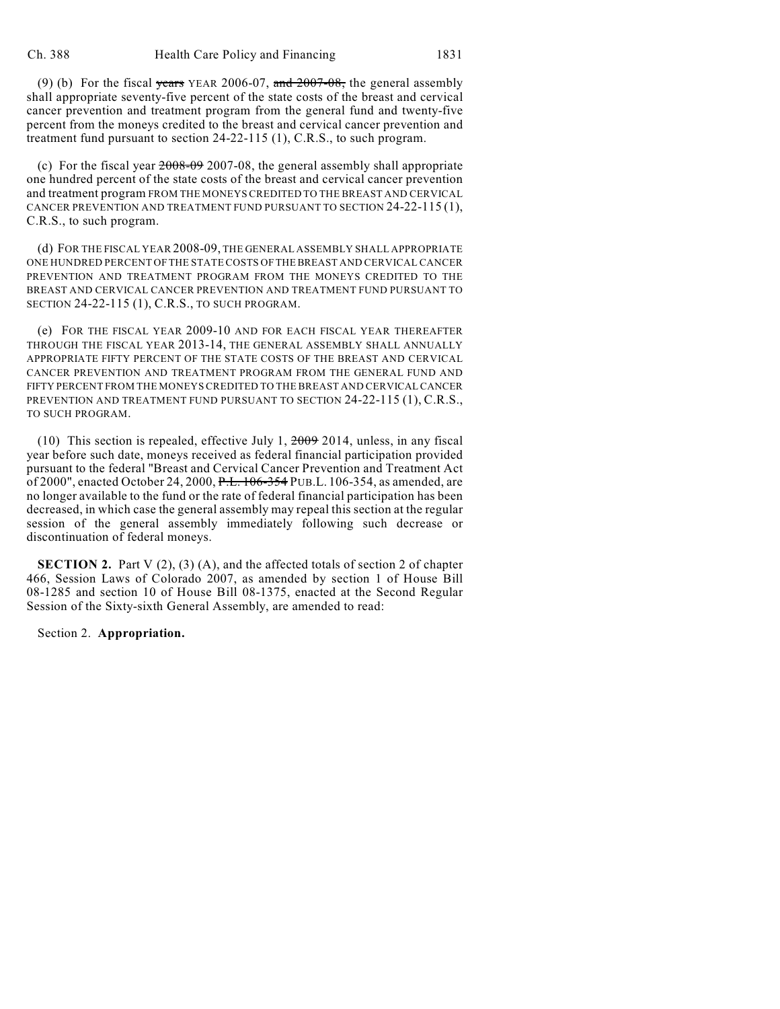(9) (b) For the fiscal years YEAR 2006-07, and  $2007$ -08, the general assembly shall appropriate seventy-five percent of the state costs of the breast and cervical cancer prevention and treatment program from the general fund and twenty-five percent from the moneys credited to the breast and cervical cancer prevention and treatment fund pursuant to section 24-22-115 (1), C.R.S., to such program.

(c) For the fiscal year  $2008-09$  2007-08, the general assembly shall appropriate one hundred percent of the state costs of the breast and cervical cancer prevention and treatment program FROM THE MONEYS CREDITED TO THE BREAST AND CERVICAL CANCER PREVENTION AND TREATMENT FUND PURSUANT TO SECTION 24-22-115 (1), C.R.S., to such program.

(d) FOR THE FISCAL YEAR 2008-09, THE GENERAL ASSEMBLY SHALL APPROPRIATE ONE HUNDRED PERCENT OF THE STATE COSTS OF THE BREAST AND CERVICAL CANCER PREVENTION AND TREATMENT PROGRAM FROM THE MONEYS CREDITED TO THE BREAST AND CERVICAL CANCER PREVENTION AND TREATMENT FUND PURSUANT TO SECTION 24-22-115 (1), C.R.S., TO SUCH PROGRAM.

(e) FOR THE FISCAL YEAR 2009-10 AND FOR EACH FISCAL YEAR THEREAFTER THROUGH THE FISCAL YEAR 2013-14, THE GENERAL ASSEMBLY SHALL ANNUALLY APPROPRIATE FIFTY PERCENT OF THE STATE COSTS OF THE BREAST AND CERVICAL CANCER PREVENTION AND TREATMENT PROGRAM FROM THE GENERAL FUND AND FIFTY PERCENT FROM THE MONEYS CREDITED TO THE BREAST AND CERVICAL CANCER PREVENTION AND TREATMENT FUND PURSUANT TO SECTION 24-22-115 (1), C.R.S., TO SUCH PROGRAM.

(10) This section is repealed, effective July 1, 2009 2014, unless, in any fiscal year before such date, moneys received as federal financial participation provided pursuant to the federal "Breast and Cervical Cancer Prevention and Treatment Act of 2000", enacted October 24, 2000, P.L. 106-354 PUB.L. 106-354, as amended, are no longer available to the fund or the rate of federal financial participation has been decreased, in which case the general assembly may repeal this section at the regular session of the general assembly immediately following such decrease or discontinuation of federal moneys.

**SECTION 2.** Part V (2), (3) (A), and the affected totals of section 2 of chapter 466, Session Laws of Colorado 2007, as amended by section 1 of House Bill 08-1285 and section 10 of House Bill 08-1375, enacted at the Second Regular Session of the Sixty-sixth General Assembly, are amended to read:

Section 2. **Appropriation.**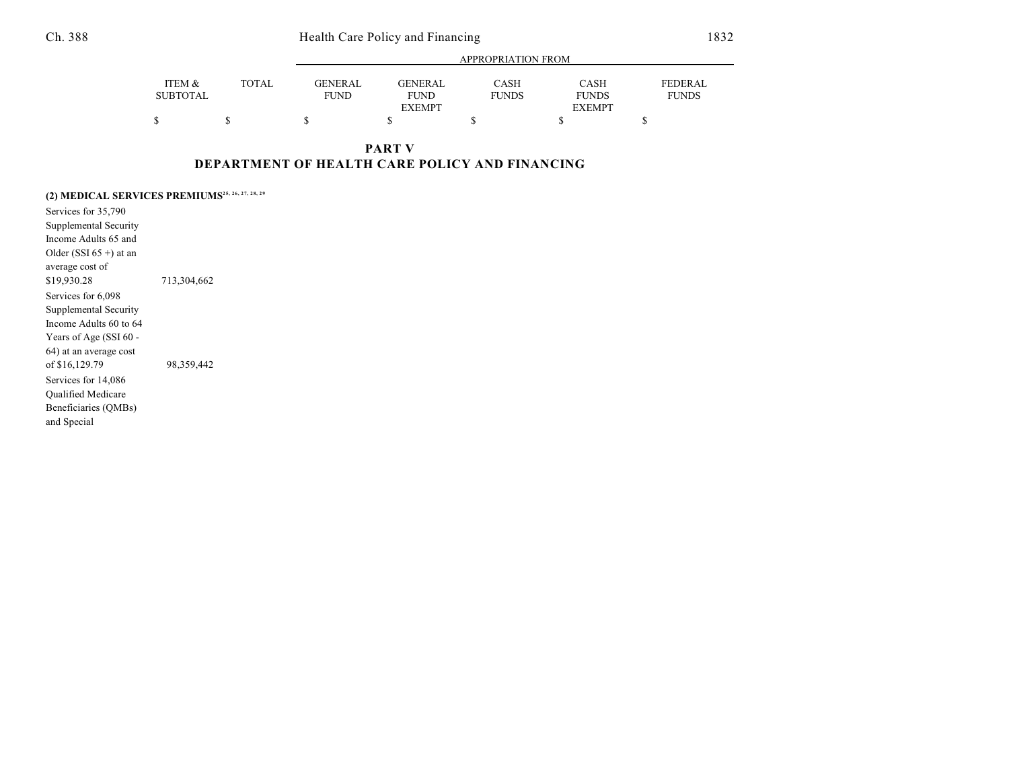# Ch. 388 Health Care Policy and Financing 1832

|                 |              | APPROPRIATION FROM |               |              |               |              |  |
|-----------------|--------------|--------------------|---------------|--------------|---------------|--------------|--|
| ITEM &          | <b>TOTAL</b> | GENERAL            | GENERAL       | <b>CASH</b>  | <b>CASH</b>   | FEDERAL      |  |
| <b>SUBTOTAL</b> |              | <b>FUND</b>        | <b>FUND</b>   | <b>FUNDS</b> | <b>FUNDS</b>  | <b>FUNDS</b> |  |
|                 |              |                    | <b>EXEMPT</b> |              | <b>EXEMPT</b> |              |  |
|                 |              |                    |               |              |               |              |  |

### **PART V DEPARTMENT OF HEALTH CARE POLICY AND FINANCING**

| (2) MEDICAL SERVICES PREMIUMS <sup>25, 26, 27, 28, 29</sup> |             |  |  |  |  |  |
|-------------------------------------------------------------|-------------|--|--|--|--|--|
| Services for 35,790                                         |             |  |  |  |  |  |
| Supplemental Security                                       |             |  |  |  |  |  |
| Income Adults 65 and                                        |             |  |  |  |  |  |
| Older (SSI $65 +$ ) at an                                   |             |  |  |  |  |  |
| average cost of                                             |             |  |  |  |  |  |
| \$19,930.28                                                 | 713,304,662 |  |  |  |  |  |
| Services for 6,098                                          |             |  |  |  |  |  |
| Supplemental Security                                       |             |  |  |  |  |  |
| Income Adults 60 to 64                                      |             |  |  |  |  |  |
| Years of Age (SSI 60 -                                      |             |  |  |  |  |  |
| 64) at an average cost                                      |             |  |  |  |  |  |
| of \$16,129.79                                              | 98,359,442  |  |  |  |  |  |
| Services for 14,086                                         |             |  |  |  |  |  |
| <b>Oualified Medicare</b>                                   |             |  |  |  |  |  |
| Beneficiaries (QMBs)                                        |             |  |  |  |  |  |
| and Special                                                 |             |  |  |  |  |  |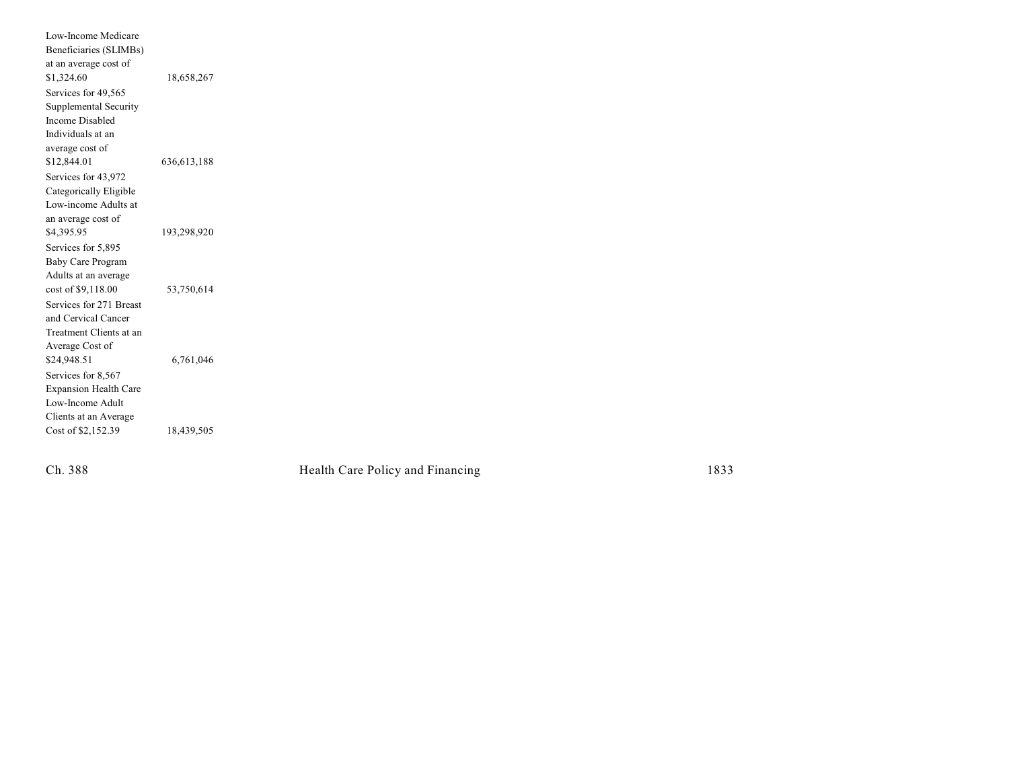Low-Income Medicare Beneficiaries (SL IMBs) at an average cost of \$1,324.60 18,658,267 Services for 49,565 Supplemental Security Income Disabled Individuals at an average cost of<br>\$12,844.01 636,613,188 Services for 43,972 Categorically Eligible Low-income Adults at an average cost of \$4,395.95 193,298,920 Services for 5,895 Baby Care Program Adults at an average co st o f \$9,118.00 53,750,614 Services for 271 Breast and Cervical Cancer Treatment Clients at an Average Cost of \$24,948.51 6,761,046 Services for 8,567 Expansion Health Care Low-Income Adult Clients at an Average Co st o f \$2,152.39 18,439,505

Ch. 388

Heal th Care Policy and F inancing 1833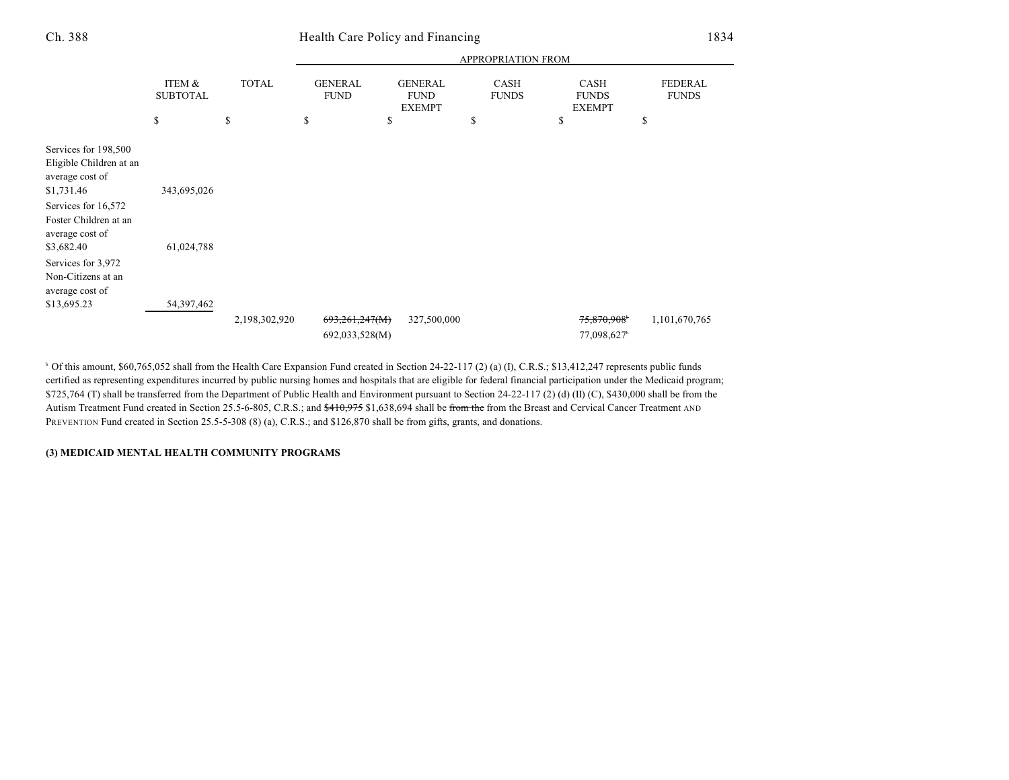## Ch. 388 Health Care Policy and Financing 1834

|                                                                                                                                                     |                           |               | <b>APPROPRIATION FROM</b>     |                                                |                             |                                       |                                |  |
|-----------------------------------------------------------------------------------------------------------------------------------------------------|---------------------------|---------------|-------------------------------|------------------------------------------------|-----------------------------|---------------------------------------|--------------------------------|--|
|                                                                                                                                                     | ITEM &<br><b>SUBTOTAL</b> | <b>TOTAL</b>  | <b>GENERAL</b><br><b>FUND</b> | <b>GENERAL</b><br><b>FUND</b><br><b>EXEMPT</b> | <b>CASH</b><br><b>FUNDS</b> | CASH<br><b>FUNDS</b><br><b>EXEMPT</b> | <b>FEDERAL</b><br><b>FUNDS</b> |  |
|                                                                                                                                                     | \$                        | \$            | \$                            | \$                                             | \$                          | \$                                    | \$                             |  |
| Services for 198,500<br>Eligible Children at an<br>average cost of<br>\$1,731.46<br>Services for 16,572<br>Foster Children at an<br>average cost of | 343,695,026               |               |                               |                                                |                             |                                       |                                |  |
| \$3,682.40<br>Services for 3,972<br>Non-Citizens at an<br>average cost of                                                                           | 61,024,788                |               |                               |                                                |                             |                                       |                                |  |
| \$13,695.23                                                                                                                                         | 54,397,462                | 2,198,302,920 | 693,261,247(M)                | 327,500,000                                    |                             | 75,870,908 <sup>*</sup>               | 1,101,670,765                  |  |
|                                                                                                                                                     |                           |               | 692,033,528(M)                |                                                |                             | 77,098,627 <sup>b</sup>               |                                |  |

<sup>b</sup> Of this amount, \$60,765,052 shall from the Health Care Expansion Fund created in Section 24-22-117 (2) (a) (I), C.R.S.; \$13,412,247 represents public funds certified as representing expenditures incurred by public nursing homes and hospitals that are eligible for federal financial participation under the Medicaid program; \$725,764 (T) shall be transferred from the Department of Public Health and Environment pursuant to Section 24-22-117 (2) (d) (II) (C), \$430,000 shall be from the Autism Treatment Fund created in Section 25.5-6-805, C.R.S.; and  $$410,975$  \$1,638,694 shall be from the from the Breast and Cervical Cancer Treatment AND PREVENTION Fund created in Section 25.5-5-308 (8) (a), C.R.S.; and \$126,870 shall be from gifts, grants, and donations.

#### **(3) MEDICAID MENTAL HEALTH COMMUNITY PROGRAMS**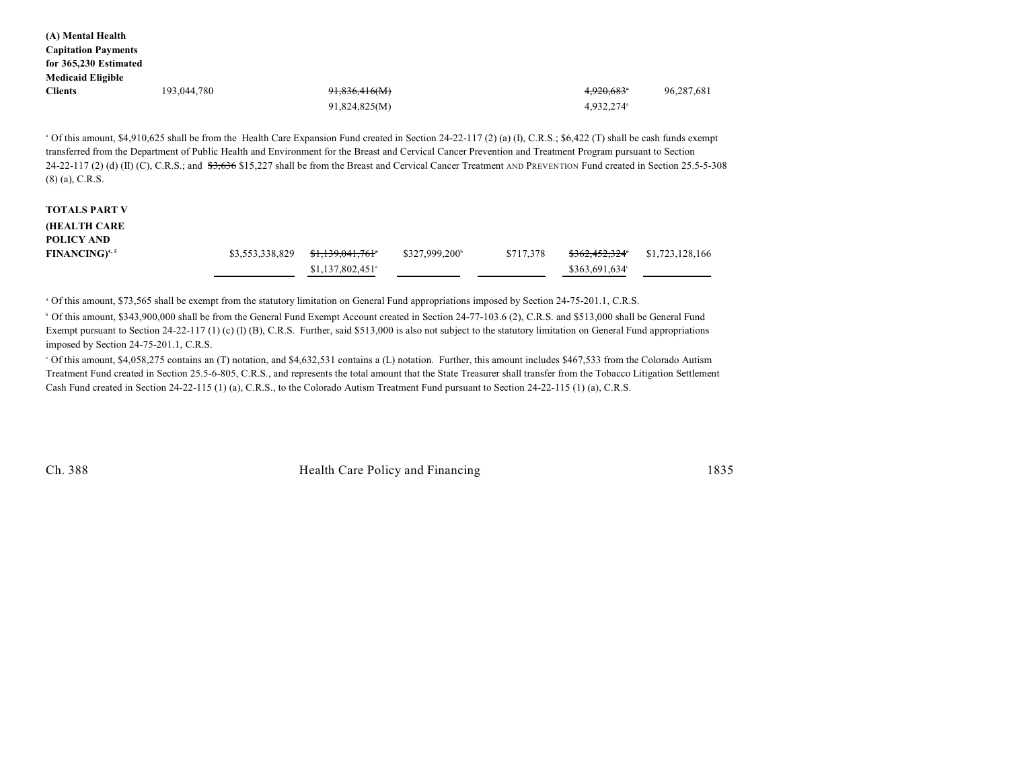| (A) Mental Health                                                                                                                                                                                                                                                                                                                                                                                                                                                                                                                                |                 |                               |               |           |                |                 |  |
|--------------------------------------------------------------------------------------------------------------------------------------------------------------------------------------------------------------------------------------------------------------------------------------------------------------------------------------------------------------------------------------------------------------------------------------------------------------------------------------------------------------------------------------------------|-----------------|-------------------------------|---------------|-----------|----------------|-----------------|--|
| <b>Capitation Payments</b>                                                                                                                                                                                                                                                                                                                                                                                                                                                                                                                       |                 |                               |               |           |                |                 |  |
| for 365,230 Estimated                                                                                                                                                                                                                                                                                                                                                                                                                                                                                                                            |                 |                               |               |           |                |                 |  |
| <b>Medicaid Eligible</b>                                                                                                                                                                                                                                                                                                                                                                                                                                                                                                                         |                 |                               |               |           |                |                 |  |
| <b>Clients</b>                                                                                                                                                                                                                                                                                                                                                                                                                                                                                                                                   | 193,044,780     | 91,836,416(M)                 |               |           | 4,920,683*     | 96,287,681      |  |
|                                                                                                                                                                                                                                                                                                                                                                                                                                                                                                                                                  |                 | 91,824,825(M)                 |               |           | 4,932,274      |                 |  |
| <sup>a</sup> Of this amount, \$4,910,625 shall be from the Health Care Expansion Fund created in Section 24-22-117 (2) (a) (I), C.R.S.; \$6,422 (T) shall be cash funds exempt<br>transferred from the Department of Public Health and Environment for the Breast and Cervical Cancer Prevention and Treatment Program pursuant to Section<br>24-22-117 (2) (d) (II) (C), C.R.S.; and $\frac{63,636}{12}$ \$15.227 shall be from the Breast and Cervical Cancer Treatment AND PREVENTION Fund created in Section 25.5-5-308<br>$(8)$ (a), C.R.S. |                 |                               |               |           |                |                 |  |
| <b>TOTALS PART V</b>                                                                                                                                                                                                                                                                                                                                                                                                                                                                                                                             |                 |                               |               |           |                |                 |  |
| <b>(HEALTH CARE</b>                                                                                                                                                                                                                                                                                                                                                                                                                                                                                                                              |                 |                               |               |           |                |                 |  |
| POLICY AND                                                                                                                                                                                                                                                                                                                                                                                                                                                                                                                                       |                 |                               |               |           |                |                 |  |
| FINANCING) <sup>4, 5</sup>                                                                                                                                                                                                                                                                                                                                                                                                                                                                                                                       | \$3,553,338,829 | \$1,139,041,761°              | \$327,999,200 | \$717,378 | \$362,452,324  | \$1,723,128,166 |  |
|                                                                                                                                                                                                                                                                                                                                                                                                                                                                                                                                                  |                 | $$1,137,802,451$ <sup>*</sup> |               |           | \$363,691,634° |                 |  |

<sup>a</sup> Of this amount, \$73,565 shall be exempt from the statutory limitation on General Fund appropriations imposed by Section 24-75-201.1, C.R.S.

 Of this amount, \$343,900,000 shall be from the General Fund Exempt Account created in Section 24-77-103.6 (2), C.R.S. and \$513,000 shall be General Fund <sup>b</sup> Exempt pursuant to Section 24-22-117 (1) (c) (I) (B), C.R.S. Further, said \$513,000 is also not subject to the statutory limitation on General Fund appropriations imposed by Section 24-75-201.1, C.R.S.

 Of this amount, \$4,058,275 contains an (T) notation, and \$4,632,531 contains a (L) notation. Further, this amount includes \$467,533 from the Colorado Autism <sup>c</sup> Treatment Fund created in Section 25.5-6-805, C.R.S., and represents the total amount that the State Treasurer shall transfer from the Tobacco Litigation Settlement Cash Fund created in Section 24-22-115 (1) (a), C.R.S., to the Colorado Autism Treatment Fund pursuant to Section 24-22-115 (1) (a), C.R.S.

Ch. 388 Health Care Policy and Financing 1835